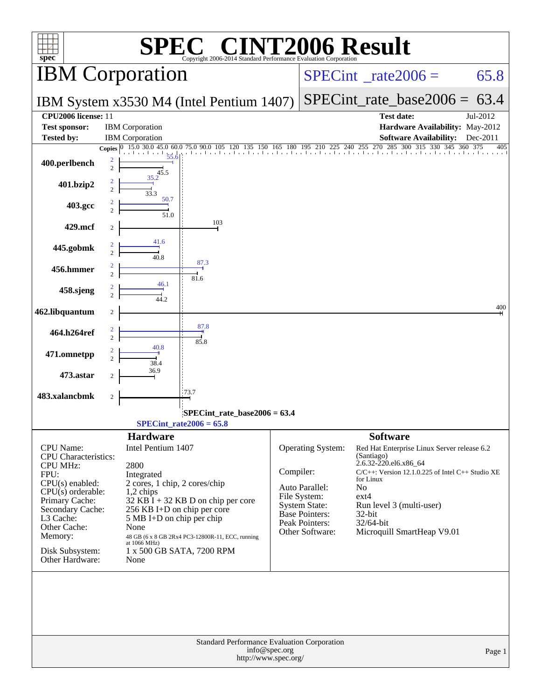| C® CINT2006 Result<br>spec <sup>®</sup><br>Copyright 2006-2014 Standard Performance Ey                                                                                                                                                   |                                                                                                                                                                                                                                                                                                               |                                                                                                                                                                                                                                                                                                                                                                                                                                   |  |  |  |
|------------------------------------------------------------------------------------------------------------------------------------------------------------------------------------------------------------------------------------------|---------------------------------------------------------------------------------------------------------------------------------------------------------------------------------------------------------------------------------------------------------------------------------------------------------------|-----------------------------------------------------------------------------------------------------------------------------------------------------------------------------------------------------------------------------------------------------------------------------------------------------------------------------------------------------------------------------------------------------------------------------------|--|--|--|
|                                                                                                                                                                                                                                          | <b>IBM</b> Corporation                                                                                                                                                                                                                                                                                        | $SPECint^{\circ}$ <sub>_rate2006</sub> =<br>65.8                                                                                                                                                                                                                                                                                                                                                                                  |  |  |  |
|                                                                                                                                                                                                                                          | IBM System x3530 M4 (Intel Pentium 1407)                                                                                                                                                                                                                                                                      | $SPECint_rate_base2006 = 63.4$                                                                                                                                                                                                                                                                                                                                                                                                    |  |  |  |
| CPU2006 license: 11<br><b>Test sponsor:</b>                                                                                                                                                                                              | <b>IBM</b> Corporation                                                                                                                                                                                                                                                                                        | <b>Test date:</b><br>Jul-2012<br>Hardware Availability: May-2012                                                                                                                                                                                                                                                                                                                                                                  |  |  |  |
| <b>Tested by:</b>                                                                                                                                                                                                                        | <b>IBM</b> Corporation<br>75.0 90.0 105 120<br>45.0<br>60.0<br>Copies $ 0 $<br>15.0 30.0                                                                                                                                                                                                                      | <b>Software Availability:</b><br>Dec-2011<br>255 270<br>285<br>300<br>315<br>345<br>135 150 165 180 195 210 225 240 255 2<br>405<br>360                                                                                                                                                                                                                                                                                           |  |  |  |
| 400.perlbench                                                                                                                                                                                                                            | 55.6<br>2<br>$\overline{c}$<br>45.5                                                                                                                                                                                                                                                                           |                                                                                                                                                                                                                                                                                                                                                                                                                                   |  |  |  |
| 401.bzip2                                                                                                                                                                                                                                | 35.2<br>2<br>$\mathfrak{D}$<br>33.3                                                                                                                                                                                                                                                                           |                                                                                                                                                                                                                                                                                                                                                                                                                                   |  |  |  |
| 403.gcc                                                                                                                                                                                                                                  | 50.7<br>51.0                                                                                                                                                                                                                                                                                                  |                                                                                                                                                                                                                                                                                                                                                                                                                                   |  |  |  |
| 429.mcf                                                                                                                                                                                                                                  | 103                                                                                                                                                                                                                                                                                                           |                                                                                                                                                                                                                                                                                                                                                                                                                                   |  |  |  |
| 445.gobmk                                                                                                                                                                                                                                | 41.6<br>40.8                                                                                                                                                                                                                                                                                                  |                                                                                                                                                                                                                                                                                                                                                                                                                                   |  |  |  |
| 456.hmmer                                                                                                                                                                                                                                | 87.3<br>$\overline{c}$<br>81.6                                                                                                                                                                                                                                                                                |                                                                                                                                                                                                                                                                                                                                                                                                                                   |  |  |  |
| 458.sjeng                                                                                                                                                                                                                                | 46.1<br>44 2.                                                                                                                                                                                                                                                                                                 |                                                                                                                                                                                                                                                                                                                                                                                                                                   |  |  |  |
| 462.libquantum                                                                                                                                                                                                                           | $\boldsymbol{2}$                                                                                                                                                                                                                                                                                              | 400                                                                                                                                                                                                                                                                                                                                                                                                                               |  |  |  |
| 464.h264ref                                                                                                                                                                                                                              | 87.8<br>$\mathfrak{D}$<br>85.8                                                                                                                                                                                                                                                                                |                                                                                                                                                                                                                                                                                                                                                                                                                                   |  |  |  |
| 471.omnetpp                                                                                                                                                                                                                              | 40.8<br>38.4                                                                                                                                                                                                                                                                                                  |                                                                                                                                                                                                                                                                                                                                                                                                                                   |  |  |  |
| 473.astar                                                                                                                                                                                                                                | 36.9                                                                                                                                                                                                                                                                                                          |                                                                                                                                                                                                                                                                                                                                                                                                                                   |  |  |  |
| 483.xalancbmk                                                                                                                                                                                                                            | 173.7<br>$\boldsymbol{2}$                                                                                                                                                                                                                                                                                     |                                                                                                                                                                                                                                                                                                                                                                                                                                   |  |  |  |
|                                                                                                                                                                                                                                          | SPECint_rate_base2006 = 63.4<br>SPECint rate $2006 = 65.8$                                                                                                                                                                                                                                                    |                                                                                                                                                                                                                                                                                                                                                                                                                                   |  |  |  |
|                                                                                                                                                                                                                                          | <b>Hardware</b>                                                                                                                                                                                                                                                                                               | <b>Software</b>                                                                                                                                                                                                                                                                                                                                                                                                                   |  |  |  |
| <b>CPU</b> Name:<br><b>CPU</b> Characteristics:<br><b>CPU MHz:</b><br>FPU:<br>CPU(s) enabled:<br>$CPU(s)$ orderable:<br>Primary Cache:<br>Secondary Cache:<br>L3 Cache:<br>Other Cache:<br>Memory:<br>Disk Subsystem:<br>Other Hardware: | Intel Pentium 1407<br>2800<br>Integrated<br>2 cores, 1 chip, 2 cores/chip<br>$1,2$ chips<br>$32$ KB I + 32 KB D on chip per core<br>256 KB I+D on chip per core<br>5 MB I+D on chip per chip<br>None<br>48 GB (6 x 8 GB 2Rx4 PC3-12800R-11, ECC, running<br>at 1066 MHz)<br>1 x 500 GB SATA, 7200 RPM<br>None | Operating System:<br>Red Hat Enterprise Linux Server release 6.2<br>(Santiago)<br>2.6.32-220.el6.x86_64<br>Compiler:<br>$C/C++$ : Version 12.1.0.225 of Intel $C++$ Studio XE<br>for Linux<br>N <sub>o</sub><br>Auto Parallel:<br>File System:<br>$ext{4}$<br><b>System State:</b><br>Run level 3 (multi-user)<br><b>Base Pointers:</b><br>32-bit<br>Peak Pointers:<br>32/64-bit<br>Other Software:<br>Microquill SmartHeap V9.01 |  |  |  |
|                                                                                                                                                                                                                                          | Standard Performance Evaluation Corporation<br>info@spec.org<br>http://www.spec.org/                                                                                                                                                                                                                          | Page 1                                                                                                                                                                                                                                                                                                                                                                                                                            |  |  |  |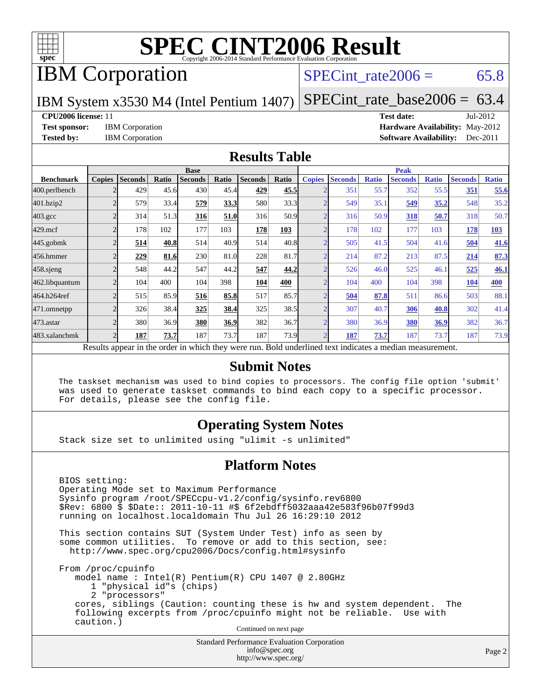

# IBM Corporation

SPECint rate  $2006 = 65.8$ 

IBM System x3530 M4 (Intel Pentium 1407)

[SPECint\\_rate\\_base2006 =](http://www.spec.org/auto/cpu2006/Docs/result-fields.html#SPECintratebase2006) 63.4

#### **[CPU2006 license:](http://www.spec.org/auto/cpu2006/Docs/result-fields.html#CPU2006license)** 11 **[Test date:](http://www.spec.org/auto/cpu2006/Docs/result-fields.html#Testdate)** Jul-2012

BIOS setting:

**[Test sponsor:](http://www.spec.org/auto/cpu2006/Docs/result-fields.html#Testsponsor)** IBM Corporation **[Hardware Availability:](http://www.spec.org/auto/cpu2006/Docs/result-fields.html#HardwareAvailability)** May-2012 **[Tested by:](http://www.spec.org/auto/cpu2006/Docs/result-fields.html#Testedby)** IBM Corporation **[Software Availability:](http://www.spec.org/auto/cpu2006/Docs/result-fields.html#SoftwareAvailability)** Dec-2011

#### **[Results Table](http://www.spec.org/auto/cpu2006/Docs/result-fields.html#ResultsTable)**

|                    | <b>Base</b>                                                                                              |                |       |                |       |                | <b>Peak</b> |                |                |              |                |              |                |              |
|--------------------|----------------------------------------------------------------------------------------------------------|----------------|-------|----------------|-------|----------------|-------------|----------------|----------------|--------------|----------------|--------------|----------------|--------------|
| <b>Benchmark</b>   | <b>Copies</b>                                                                                            | <b>Seconds</b> | Ratio | <b>Seconds</b> | Ratio | <b>Seconds</b> | Ratio       | <b>Copies</b>  | <b>Seconds</b> | <b>Ratio</b> | <b>Seconds</b> | <b>Ratio</b> | <b>Seconds</b> | <b>Ratio</b> |
| 400.perlbench      |                                                                                                          | 429            | 45.6  | 430            | 45.4  | 429            | 45.5        | ↑              | 351            | 55.7         | 352            | 55.5         | 351            | 55.6         |
| 401.bzip2          |                                                                                                          | 579            | 33.4  | 579            | 33.3  | 580            | 33.3        |                | 549            | 35.1         | 549            | 35.2         | 548            | 35.2         |
| $403.\mathrm{gcc}$ |                                                                                                          | 314            | 51.3  | 316            | 51.0  | 316            | 50.9        | $\bigcap$      | 316            | 50.9         | 318            | 50.7         | 318            | 50.7         |
| $429$ .mcf         |                                                                                                          | 178            | 102   | 177            | 103   | 178            | 103         | ⌒              | 178            | 102          | 177            | 103          | 178            | <b>103</b>   |
| $445$ .gobm $k$    |                                                                                                          | 514            | 40.8  | 514            | 40.9  | 514            | 40.8        | ⌒              | 505            | 41.5         | 504            | 41.6         | 504            | 41.6         |
| 456.hmmer          |                                                                                                          | 229            | 81.6  | 230            | 81.0  | 228            | 81.7        | $\overline{2}$ | 214            | 87.2         | 213            | 87.5         | 214            | 87.3         |
| $458$ .sjeng       |                                                                                                          | 548            | 44.2  | 547            | 44.2  | 547            | 44.2        | ⌒              | 526            | 46.0         | 525            | 46.1         | 525            | 46.1         |
| 462.libquantum     |                                                                                                          | 104            | 400   | 104            | 398   | 104            | 400         | ⌒              | 104            | 400          | 104            | 398          | 104            | 400          |
| 464.h264ref        |                                                                                                          | 515            | 85.9  | 516            | 85.8  | 517            | 85.7        | ⌒              | 504            | 87.8         | 511            | 86.6         | 503            | 88.1         |
| 471.omnetpp        |                                                                                                          | 326            | 38.4  | 325            | 38.4  | 325            | 38.5        |                | 307            | 40.7         | 306            | 40.8         | 302            | 41.4         |
| 473.astar          |                                                                                                          | 380            | 36.9  | 380            | 36.9  | 382            | 36.7        | $\overline{2}$ | 380            | 36.9         | 380            | 36.9         | 382            | 36.7         |
| 483.xalancbmk      |                                                                                                          | 187            | 73.7  | 187            | 73.7  | 187            | 73.9        | $\mathcal{D}$  | 187            | 73.7         | 187            | 73.7         | 187            | 73.9         |
|                    | Results appear in the order in which they were run. Bold underlined text indicates a median measurement. |                |       |                |       |                |             |                |                |              |                |              |                |              |

#### **[Submit Notes](http://www.spec.org/auto/cpu2006/Docs/result-fields.html#SubmitNotes)**

 The taskset mechanism was used to bind copies to processors. The config file option 'submit' was used to generate taskset commands to bind each copy to a specific processor. For details, please see the config file.

### **[Operating System Notes](http://www.spec.org/auto/cpu2006/Docs/result-fields.html#OperatingSystemNotes)**

Stack size set to unlimited using "ulimit -s unlimited"

#### **[Platform Notes](http://www.spec.org/auto/cpu2006/Docs/result-fields.html#PlatformNotes)**

 Operating Mode set to Maximum Performance Sysinfo program /root/SPECcpu-v1.2/config/sysinfo.rev6800 \$Rev: 6800 \$ \$Date:: 2011-10-11 #\$ 6f2ebdff5032aaa42e583f96b07f99d3 running on localhost.localdomain Thu Jul 26 16:29:10 2012 This section contains SUT (System Under Test) info as seen by some common utilities. To remove or add to this section, see: <http://www.spec.org/cpu2006/Docs/config.html#sysinfo> From /proc/cpuinfo model name : Intel(R) Pentium(R) CPU 1407 @ 2.80GHz 1 "physical id"s (chips) 2 "processors" cores, siblings (Caution: counting these is hw and system dependent. The following excerpts from /proc/cpuinfo might not be reliable. Use with caution.) Continued on next page

> Standard Performance Evaluation Corporation [info@spec.org](mailto:info@spec.org) <http://www.spec.org/>

Page 2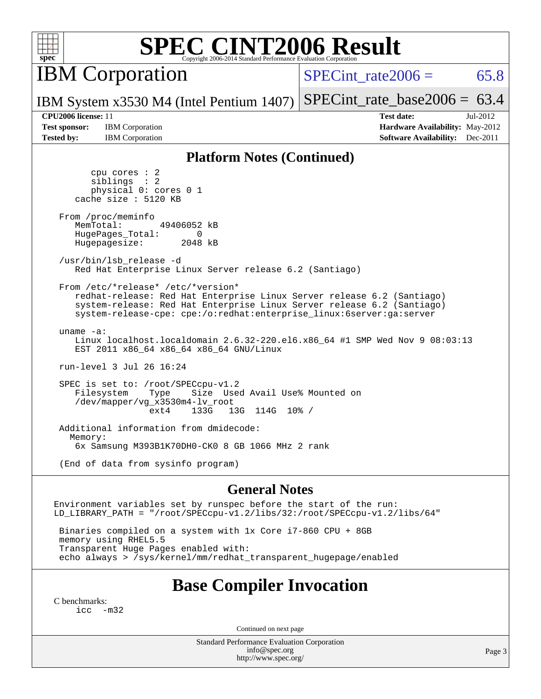

IBM Corporation

SPECint rate  $2006 = 65.8$ 

IBM System x3530 M4 (Intel Pentium 1407) [SPECint\\_rate\\_base2006 =](http://www.spec.org/auto/cpu2006/Docs/result-fields.html#SPECintratebase2006)  $63.4$ 

**[Test sponsor:](http://www.spec.org/auto/cpu2006/Docs/result-fields.html#Testsponsor)** IBM Corporation **[Hardware Availability:](http://www.spec.org/auto/cpu2006/Docs/result-fields.html#HardwareAvailability)** May-2012

**[CPU2006 license:](http://www.spec.org/auto/cpu2006/Docs/result-fields.html#CPU2006license)** 11 **[Test date:](http://www.spec.org/auto/cpu2006/Docs/result-fields.html#Testdate)** Jul-2012 **[Tested by:](http://www.spec.org/auto/cpu2006/Docs/result-fields.html#Testedby)** IBM Corporation **[Software Availability:](http://www.spec.org/auto/cpu2006/Docs/result-fields.html#SoftwareAvailability)** Dec-2011

#### **[Platform Notes \(Continued\)](http://www.spec.org/auto/cpu2006/Docs/result-fields.html#PlatformNotes)**

 cpu cores : 2 siblings : 2 physical 0: cores 0 1 cache size : 5120 KB From /proc/meminfo MemTotal: 49406052 kB HugePages\_Total: 0<br>Hugepagesize: 2048 kB Hugepagesize: /usr/bin/lsb\_release -d Red Hat Enterprise Linux Server release 6.2 (Santiago) From /etc/\*release\* /etc/\*version\* redhat-release: Red Hat Enterprise Linux Server release 6.2 (Santiago) system-release: Red Hat Enterprise Linux Server release 6.2 (Santiago) system-release-cpe: cpe:/o:redhat:enterprise\_linux:6server:ga:server uname -a: Linux localhost.localdomain 2.6.32-220.el6.x86\_64 #1 SMP Wed Nov 9 08:03:13 EST 2011 x86\_64 x86\_64 x86\_64 GNU/Linux run-level 3 Jul 26 16:24 SPEC is set to: /root/SPECcpu-v1.2<br>Filesystem Type Size Use Size Used Avail Use% Mounted on /dev/mapper/vg\_x3530m4-lv\_root ext4 133G 13G 114G 10% / Additional information from dmidecode: Memory: 6x Samsung M393B1K70DH0-CK0 8 GB 1066 MHz 2 rank (End of data from sysinfo program)

#### **[General Notes](http://www.spec.org/auto/cpu2006/Docs/result-fields.html#GeneralNotes)**

Environment variables set by runspec before the start of the run: LD\_LIBRARY\_PATH = "/root/SPECcpu-v1.2/libs/32:/root/SPECcpu-v1.2/libs/64"

 Binaries compiled on a system with 1x Core i7-860 CPU + 8GB memory using RHEL5.5 Transparent Huge Pages enabled with: echo always > /sys/kernel/mm/redhat\_transparent\_hugepage/enabled

### **[Base Compiler Invocation](http://www.spec.org/auto/cpu2006/Docs/result-fields.html#BaseCompilerInvocation)**

[C benchmarks](http://www.spec.org/auto/cpu2006/Docs/result-fields.html#Cbenchmarks):  $inc -m32$ 

Continued on next page

Standard Performance Evaluation Corporation [info@spec.org](mailto:info@spec.org) <http://www.spec.org/>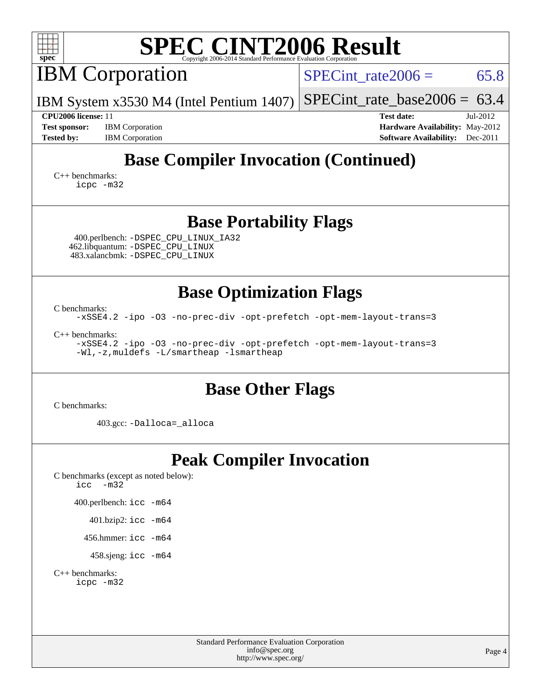| <b>SPEC CINT2006 Result</b><br>$spec^*$<br>Copyright 2006-2014 Standard Performance Evaluation Corporation                               |                                                                                                            |  |  |  |  |  |
|------------------------------------------------------------------------------------------------------------------------------------------|------------------------------------------------------------------------------------------------------------|--|--|--|--|--|
| <b>IBM</b> Corporation                                                                                                                   | 65.8<br>$SPECint rate 2006 =$                                                                              |  |  |  |  |  |
| IBM System x3530 M4 (Intel Pentium 1407)                                                                                                 | $SPECint_rate_base2006 = 63.4$                                                                             |  |  |  |  |  |
| <b>CPU2006</b> license: 11<br><b>Test sponsor:</b><br><b>IBM</b> Corporation<br><b>Tested by:</b><br><b>IBM</b> Corporation              | <b>Test date:</b><br>Jul-2012<br>Hardware Availability: May-2012<br><b>Software Availability:</b> Dec-2011 |  |  |  |  |  |
| <b>Base Compiler Invocation (Continued)</b>                                                                                              |                                                                                                            |  |  |  |  |  |
| $C_{++}$ benchmarks:<br>icpc -m32                                                                                                        |                                                                                                            |  |  |  |  |  |
| <b>Base Portability Flags</b><br>400.perlbench: -DSPEC_CPU_LINUX_IA32                                                                    |                                                                                                            |  |  |  |  |  |
| 462.libquantum: - DSPEC_CPU_LINUX<br>483.xalancbmk: - DSPEC CPU LINUX                                                                    |                                                                                                            |  |  |  |  |  |
| <b>Base Optimization Flags</b>                                                                                                           |                                                                                                            |  |  |  |  |  |
| C benchmarks:<br>-xSSE4.2 -ipo -03 -no-prec-div -opt-prefetch -opt-mem-layout-trans=3                                                    |                                                                                                            |  |  |  |  |  |
| $C_{++}$ benchmarks:<br>-xSSE4.2 -ipo -03 -no-prec-div -opt-prefetch -opt-mem-layout-trans=3<br>-Wl,-z, muldefs -L/smartheap -lsmartheap |                                                                                                            |  |  |  |  |  |
| <b>Base Other Flags</b><br>C benchmarks:                                                                                                 |                                                                                                            |  |  |  |  |  |
| 403.gcc: -Dalloca=_alloca                                                                                                                |                                                                                                            |  |  |  |  |  |
| <b>Peak Compiler Invocation</b><br>C benchmarks (except as noted below):<br>$-m32$<br>icc                                                |                                                                                                            |  |  |  |  |  |
| 400.perlbench: icc -m64                                                                                                                  |                                                                                                            |  |  |  |  |  |
| 401.bzip2: icc -m64                                                                                                                      |                                                                                                            |  |  |  |  |  |
| 456.hmmer: icc -m64                                                                                                                      |                                                                                                            |  |  |  |  |  |
| 458.sjeng: icc -m64<br>$C++$ benchmarks:<br>icpc -m32                                                                                    |                                                                                                            |  |  |  |  |  |
| Standard Performance Evaluation Corporation<br>info@spec.org<br>http://www.spec.org/                                                     | Page 4                                                                                                     |  |  |  |  |  |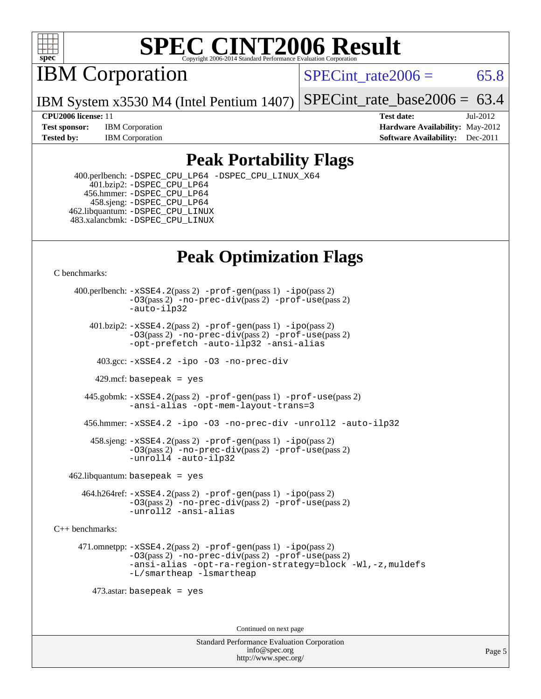

IBM Corporation

SPECint rate  $2006 = 65.8$ 

IBM System x3530 M4 (Intel Pentium 1407) [SPECint\\_rate\\_base2006 =](http://www.spec.org/auto/cpu2006/Docs/result-fields.html#SPECintratebase2006) 63.4

**[Test sponsor:](http://www.spec.org/auto/cpu2006/Docs/result-fields.html#Testsponsor)** IBM Corporation **[Hardware Availability:](http://www.spec.org/auto/cpu2006/Docs/result-fields.html#HardwareAvailability)** May-2012 **[Tested by:](http://www.spec.org/auto/cpu2006/Docs/result-fields.html#Testedby)** IBM Corporation **[Software Availability:](http://www.spec.org/auto/cpu2006/Docs/result-fields.html#SoftwareAvailability)** Dec-2011

**[CPU2006 license:](http://www.spec.org/auto/cpu2006/Docs/result-fields.html#CPU2006license)** 11 **[Test date:](http://www.spec.org/auto/cpu2006/Docs/result-fields.html#Testdate)** Jul-2012

### **[Peak Portability Flags](http://www.spec.org/auto/cpu2006/Docs/result-fields.html#PeakPortabilityFlags)**

 400.perlbench: [-DSPEC\\_CPU\\_LP64](http://www.spec.org/cpu2006/results/res2012q3/cpu2006-20120806-24052.flags.html#b400.perlbench_peakCPORTABILITY_DSPEC_CPU_LP64) [-DSPEC\\_CPU\\_LINUX\\_X64](http://www.spec.org/cpu2006/results/res2012q3/cpu2006-20120806-24052.flags.html#b400.perlbench_peakCPORTABILITY_DSPEC_CPU_LINUX_X64) 401.bzip2: [-DSPEC\\_CPU\\_LP64](http://www.spec.org/cpu2006/results/res2012q3/cpu2006-20120806-24052.flags.html#suite_peakCPORTABILITY401_bzip2_DSPEC_CPU_LP64) 456.hmmer: [-DSPEC\\_CPU\\_LP64](http://www.spec.org/cpu2006/results/res2012q3/cpu2006-20120806-24052.flags.html#suite_peakCPORTABILITY456_hmmer_DSPEC_CPU_LP64) 458.sjeng: [-DSPEC\\_CPU\\_LP64](http://www.spec.org/cpu2006/results/res2012q3/cpu2006-20120806-24052.flags.html#suite_peakCPORTABILITY458_sjeng_DSPEC_CPU_LP64) 462.libquantum: [-DSPEC\\_CPU\\_LINUX](http://www.spec.org/cpu2006/results/res2012q3/cpu2006-20120806-24052.flags.html#b462.libquantum_peakCPORTABILITY_DSPEC_CPU_LINUX) 483.xalancbmk: [-DSPEC\\_CPU\\_LINUX](http://www.spec.org/cpu2006/results/res2012q3/cpu2006-20120806-24052.flags.html#b483.xalancbmk_peakCXXPORTABILITY_DSPEC_CPU_LINUX)

## **[Peak Optimization Flags](http://www.spec.org/auto/cpu2006/Docs/result-fields.html#PeakOptimizationFlags)**

[C benchmarks](http://www.spec.org/auto/cpu2006/Docs/result-fields.html#Cbenchmarks):

 400.perlbench: [-xSSE4.2](http://www.spec.org/cpu2006/results/res2012q3/cpu2006-20120806-24052.flags.html#user_peakPASS2_CFLAGSPASS2_LDCFLAGS400_perlbench_f-xSSE42_f91528193cf0b216347adb8b939d4107)(pass 2) [-prof-gen](http://www.spec.org/cpu2006/results/res2012q3/cpu2006-20120806-24052.flags.html#user_peakPASS1_CFLAGSPASS1_LDCFLAGS400_perlbench_prof_gen_e43856698f6ca7b7e442dfd80e94a8fc)(pass 1) [-ipo](http://www.spec.org/cpu2006/results/res2012q3/cpu2006-20120806-24052.flags.html#user_peakPASS2_CFLAGSPASS2_LDCFLAGS400_perlbench_f-ipo)(pass 2) [-O3](http://www.spec.org/cpu2006/results/res2012q3/cpu2006-20120806-24052.flags.html#user_peakPASS2_CFLAGSPASS2_LDCFLAGS400_perlbench_f-O3)(pass 2) [-no-prec-div](http://www.spec.org/cpu2006/results/res2012q3/cpu2006-20120806-24052.flags.html#user_peakPASS2_CFLAGSPASS2_LDCFLAGS400_perlbench_f-no-prec-div)(pass 2) [-prof-use](http://www.spec.org/cpu2006/results/res2012q3/cpu2006-20120806-24052.flags.html#user_peakPASS2_CFLAGSPASS2_LDCFLAGS400_perlbench_prof_use_bccf7792157ff70d64e32fe3e1250b55)(pass 2) [-auto-ilp32](http://www.spec.org/cpu2006/results/res2012q3/cpu2006-20120806-24052.flags.html#user_peakCOPTIMIZE400_perlbench_f-auto-ilp32)  $401.bzip2: -xSSE4.2(pass 2) -prof-qen(pass 1) -ipo(pass 2)$  $401.bzip2: -xSSE4.2(pass 2) -prof-qen(pass 1) -ipo(pass 2)$  $401.bzip2: -xSSE4.2(pass 2) -prof-qen(pass 1) -ipo(pass 2)$  $401.bzip2: -xSSE4.2(pass 2) -prof-qen(pass 1) -ipo(pass 2)$  $401.bzip2: -xSSE4.2(pass 2) -prof-qen(pass 1) -ipo(pass 2)$ [-O3](http://www.spec.org/cpu2006/results/res2012q3/cpu2006-20120806-24052.flags.html#user_peakPASS2_CFLAGSPASS2_LDCFLAGS401_bzip2_f-O3)(pass 2) [-no-prec-div](http://www.spec.org/cpu2006/results/res2012q3/cpu2006-20120806-24052.flags.html#user_peakPASS2_CFLAGSPASS2_LDCFLAGS401_bzip2_f-no-prec-div)(pass 2) [-prof-use](http://www.spec.org/cpu2006/results/res2012q3/cpu2006-20120806-24052.flags.html#user_peakPASS2_CFLAGSPASS2_LDCFLAGS401_bzip2_prof_use_bccf7792157ff70d64e32fe3e1250b55)(pass 2) [-opt-prefetch](http://www.spec.org/cpu2006/results/res2012q3/cpu2006-20120806-24052.flags.html#user_peakCOPTIMIZE401_bzip2_f-opt-prefetch) [-auto-ilp32](http://www.spec.org/cpu2006/results/res2012q3/cpu2006-20120806-24052.flags.html#user_peakCOPTIMIZE401_bzip2_f-auto-ilp32) [-ansi-alias](http://www.spec.org/cpu2006/results/res2012q3/cpu2006-20120806-24052.flags.html#user_peakCOPTIMIZE401_bzip2_f-ansi-alias) 403.gcc: [-xSSE4.2](http://www.spec.org/cpu2006/results/res2012q3/cpu2006-20120806-24052.flags.html#user_peakCOPTIMIZE403_gcc_f-xSSE42_f91528193cf0b216347adb8b939d4107) [-ipo](http://www.spec.org/cpu2006/results/res2012q3/cpu2006-20120806-24052.flags.html#user_peakCOPTIMIZE403_gcc_f-ipo) [-O3](http://www.spec.org/cpu2006/results/res2012q3/cpu2006-20120806-24052.flags.html#user_peakCOPTIMIZE403_gcc_f-O3) [-no-prec-div](http://www.spec.org/cpu2006/results/res2012q3/cpu2006-20120806-24052.flags.html#user_peakCOPTIMIZE403_gcc_f-no-prec-div) 429.mcf: basepeak = yes 445.gobmk: [-xSSE4.2](http://www.spec.org/cpu2006/results/res2012q3/cpu2006-20120806-24052.flags.html#user_peakPASS2_CFLAGSPASS2_LDCFLAGS445_gobmk_f-xSSE42_f91528193cf0b216347adb8b939d4107)(pass 2) [-prof-gen](http://www.spec.org/cpu2006/results/res2012q3/cpu2006-20120806-24052.flags.html#user_peakPASS1_CFLAGSPASS1_LDCFLAGS445_gobmk_prof_gen_e43856698f6ca7b7e442dfd80e94a8fc)(pass 1) [-prof-use](http://www.spec.org/cpu2006/results/res2012q3/cpu2006-20120806-24052.flags.html#user_peakPASS2_CFLAGSPASS2_LDCFLAGS445_gobmk_prof_use_bccf7792157ff70d64e32fe3e1250b55)(pass 2) [-ansi-alias](http://www.spec.org/cpu2006/results/res2012q3/cpu2006-20120806-24052.flags.html#user_peakCOPTIMIZE445_gobmk_f-ansi-alias) [-opt-mem-layout-trans=3](http://www.spec.org/cpu2006/results/res2012q3/cpu2006-20120806-24052.flags.html#user_peakCOPTIMIZE445_gobmk_f-opt-mem-layout-trans_a7b82ad4bd7abf52556d4961a2ae94d5) 456.hmmer: [-xSSE4.2](http://www.spec.org/cpu2006/results/res2012q3/cpu2006-20120806-24052.flags.html#user_peakCOPTIMIZE456_hmmer_f-xSSE42_f91528193cf0b216347adb8b939d4107) [-ipo](http://www.spec.org/cpu2006/results/res2012q3/cpu2006-20120806-24052.flags.html#user_peakCOPTIMIZE456_hmmer_f-ipo) [-O3](http://www.spec.org/cpu2006/results/res2012q3/cpu2006-20120806-24052.flags.html#user_peakCOPTIMIZE456_hmmer_f-O3) [-no-prec-div](http://www.spec.org/cpu2006/results/res2012q3/cpu2006-20120806-24052.flags.html#user_peakCOPTIMIZE456_hmmer_f-no-prec-div) [-unroll2](http://www.spec.org/cpu2006/results/res2012q3/cpu2006-20120806-24052.flags.html#user_peakCOPTIMIZE456_hmmer_f-unroll_784dae83bebfb236979b41d2422d7ec2) [-auto-ilp32](http://www.spec.org/cpu2006/results/res2012q3/cpu2006-20120806-24052.flags.html#user_peakCOPTIMIZE456_hmmer_f-auto-ilp32) 458.sjeng: [-xSSE4.2](http://www.spec.org/cpu2006/results/res2012q3/cpu2006-20120806-24052.flags.html#user_peakPASS2_CFLAGSPASS2_LDCFLAGS458_sjeng_f-xSSE42_f91528193cf0b216347adb8b939d4107)(pass 2) [-prof-gen](http://www.spec.org/cpu2006/results/res2012q3/cpu2006-20120806-24052.flags.html#user_peakPASS1_CFLAGSPASS1_LDCFLAGS458_sjeng_prof_gen_e43856698f6ca7b7e442dfd80e94a8fc)(pass 1) [-ipo](http://www.spec.org/cpu2006/results/res2012q3/cpu2006-20120806-24052.flags.html#user_peakPASS2_CFLAGSPASS2_LDCFLAGS458_sjeng_f-ipo)(pass 2) [-O3](http://www.spec.org/cpu2006/results/res2012q3/cpu2006-20120806-24052.flags.html#user_peakPASS2_CFLAGSPASS2_LDCFLAGS458_sjeng_f-O3)(pass 2) [-no-prec-div](http://www.spec.org/cpu2006/results/res2012q3/cpu2006-20120806-24052.flags.html#user_peakPASS2_CFLAGSPASS2_LDCFLAGS458_sjeng_f-no-prec-div)(pass 2) [-prof-use](http://www.spec.org/cpu2006/results/res2012q3/cpu2006-20120806-24052.flags.html#user_peakPASS2_CFLAGSPASS2_LDCFLAGS458_sjeng_prof_use_bccf7792157ff70d64e32fe3e1250b55)(pass 2) [-unroll4](http://www.spec.org/cpu2006/results/res2012q3/cpu2006-20120806-24052.flags.html#user_peakCOPTIMIZE458_sjeng_f-unroll_4e5e4ed65b7fd20bdcd365bec371b81f) [-auto-ilp32](http://www.spec.org/cpu2006/results/res2012q3/cpu2006-20120806-24052.flags.html#user_peakCOPTIMIZE458_sjeng_f-auto-ilp32)  $462$ .libquantum: basepeak = yes 464.h264ref: [-xSSE4.2](http://www.spec.org/cpu2006/results/res2012q3/cpu2006-20120806-24052.flags.html#user_peakPASS2_CFLAGSPASS2_LDCFLAGS464_h264ref_f-xSSE42_f91528193cf0b216347adb8b939d4107)(pass 2) [-prof-gen](http://www.spec.org/cpu2006/results/res2012q3/cpu2006-20120806-24052.flags.html#user_peakPASS1_CFLAGSPASS1_LDCFLAGS464_h264ref_prof_gen_e43856698f6ca7b7e442dfd80e94a8fc)(pass 1) [-ipo](http://www.spec.org/cpu2006/results/res2012q3/cpu2006-20120806-24052.flags.html#user_peakPASS2_CFLAGSPASS2_LDCFLAGS464_h264ref_f-ipo)(pass 2) [-O3](http://www.spec.org/cpu2006/results/res2012q3/cpu2006-20120806-24052.flags.html#user_peakPASS2_CFLAGSPASS2_LDCFLAGS464_h264ref_f-O3)(pass 2) [-no-prec-div](http://www.spec.org/cpu2006/results/res2012q3/cpu2006-20120806-24052.flags.html#user_peakPASS2_CFLAGSPASS2_LDCFLAGS464_h264ref_f-no-prec-div)(pass 2) [-prof-use](http://www.spec.org/cpu2006/results/res2012q3/cpu2006-20120806-24052.flags.html#user_peakPASS2_CFLAGSPASS2_LDCFLAGS464_h264ref_prof_use_bccf7792157ff70d64e32fe3e1250b55)(pass 2) [-unroll2](http://www.spec.org/cpu2006/results/res2012q3/cpu2006-20120806-24052.flags.html#user_peakCOPTIMIZE464_h264ref_f-unroll_784dae83bebfb236979b41d2422d7ec2) [-ansi-alias](http://www.spec.org/cpu2006/results/res2012q3/cpu2006-20120806-24052.flags.html#user_peakCOPTIMIZE464_h264ref_f-ansi-alias) [C++ benchmarks:](http://www.spec.org/auto/cpu2006/Docs/result-fields.html#CXXbenchmarks) 471.omnetpp: [-xSSE4.2](http://www.spec.org/cpu2006/results/res2012q3/cpu2006-20120806-24052.flags.html#user_peakPASS2_CXXFLAGSPASS2_LDCXXFLAGS471_omnetpp_f-xSSE42_f91528193cf0b216347adb8b939d4107)(pass 2) [-prof-gen](http://www.spec.org/cpu2006/results/res2012q3/cpu2006-20120806-24052.flags.html#user_peakPASS1_CXXFLAGSPASS1_LDCXXFLAGS471_omnetpp_prof_gen_e43856698f6ca7b7e442dfd80e94a8fc)(pass 1) [-ipo](http://www.spec.org/cpu2006/results/res2012q3/cpu2006-20120806-24052.flags.html#user_peakPASS2_CXXFLAGSPASS2_LDCXXFLAGS471_omnetpp_f-ipo)(pass 2) [-O3](http://www.spec.org/cpu2006/results/res2012q3/cpu2006-20120806-24052.flags.html#user_peakPASS2_CXXFLAGSPASS2_LDCXXFLAGS471_omnetpp_f-O3)(pass 2) [-no-prec-div](http://www.spec.org/cpu2006/results/res2012q3/cpu2006-20120806-24052.flags.html#user_peakPASS2_CXXFLAGSPASS2_LDCXXFLAGS471_omnetpp_f-no-prec-div)(pass 2) [-prof-use](http://www.spec.org/cpu2006/results/res2012q3/cpu2006-20120806-24052.flags.html#user_peakPASS2_CXXFLAGSPASS2_LDCXXFLAGS471_omnetpp_prof_use_bccf7792157ff70d64e32fe3e1250b55)(pass 2) [-ansi-alias](http://www.spec.org/cpu2006/results/res2012q3/cpu2006-20120806-24052.flags.html#user_peakCXXOPTIMIZE471_omnetpp_f-ansi-alias) [-opt-ra-region-strategy=block](http://www.spec.org/cpu2006/results/res2012q3/cpu2006-20120806-24052.flags.html#user_peakCXXOPTIMIZE471_omnetpp_f-opt-ra-region-strategy_a0a37c372d03933b2a18d4af463c1f69) [-Wl,-z,muldefs](http://www.spec.org/cpu2006/results/res2012q3/cpu2006-20120806-24052.flags.html#user_peakEXTRA_LDFLAGS471_omnetpp_link_force_multiple1_74079c344b956b9658436fd1b6dd3a8a) [-L/smartheap -lsmartheap](http://www.spec.org/cpu2006/results/res2012q3/cpu2006-20120806-24052.flags.html#user_peakEXTRA_LIBS471_omnetpp_SmartHeap_7c9e394a5779e1a7fec7c221e123830c) 473.astar: basepeak = yes Continued on next page

> Standard Performance Evaluation Corporation [info@spec.org](mailto:info@spec.org) <http://www.spec.org/>